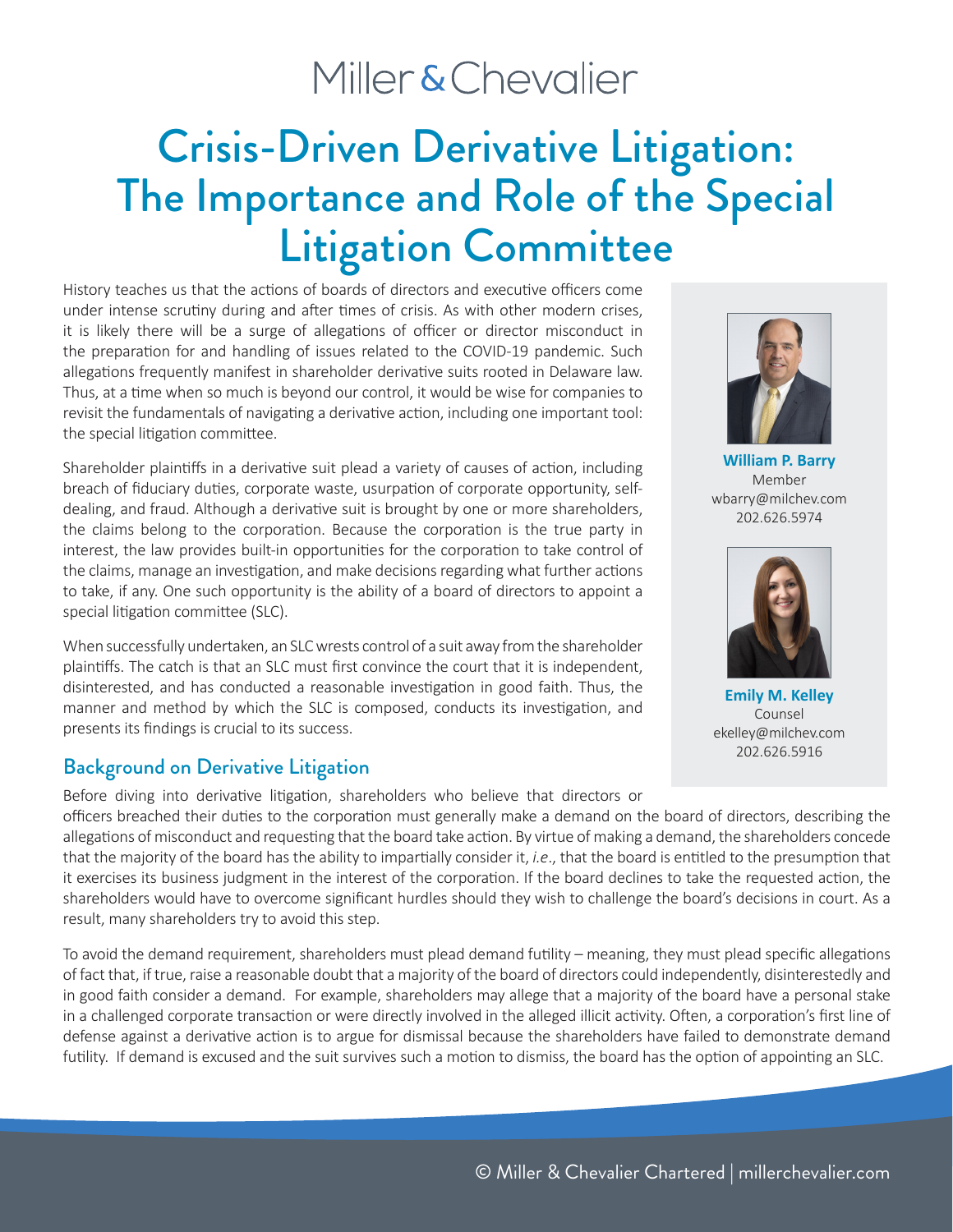## Miller & Chevalier

# Crisis-Driven Derivative Litigation: The Importance and Role of the Special Litigation Committee

History teaches us that the actions of boards of directors and executive officers come under intense scrutiny during and after times of crisis. As with other modern crises, it is likely there will be a surge of allegations of officer or director misconduct in the preparation for and handling of issues related to the COVID-19 pandemic. Such allegations frequently manifest in shareholder derivative suits rooted in Delaware law. Thus, at a time when so much is beyond our control, it would be wise for companies to revisit the fundamentals of navigating a derivative action, including one important tool: the special litigation committee.

Shareholder plaintiffs in a derivative suit plead a variety of causes of action, including breach of fiduciary duties, corporate waste, usurpation of corporate opportunity, selfdealing, and fraud. Although a derivative suit is brought by one or more shareholders, the claims belong to the corporation. Because the corporation is the true party in interest, the law provides built-in opportunities for the corporation to take control of the claims, manage an investigation, and make decisions regarding what further actions to take, if any. One such opportunity is the ability of a board of directors to appoint a special litigation committee (SLC).

When successfully undertaken, an SLC wrests control of a suit away from the shareholder plaintiffs. The catch is that an SLC must first convince the court that it is independent, disinterested, and has conducted a reasonable investigation in good faith. Thus, the manner and method by which the SLC is composed, conducts its investigation, and presents its findings is crucial to its success.

#### Background on Derivative Litigation

Before diving into derivative litigation, shareholders who believe that directors or officers breached their duties to the corporation must generally make a demand on the board of directors, describing the allegations of misconduct and requesting that the board take action. By virtue of making a demand, the shareholders concede that the majority of the board has the ability to impartially consider it, *i.e*., that the board is entitled to the presumption that it exercises its business judgment in the interest of the corporation. If the board declines to take the requested action, the shareholders would have to overcome significant hurdles should they wish to challenge the board's decisions in court. As a result, many shareholders try to avoid this step.

To avoid the demand requirement, shareholders must plead demand futility – meaning, they must plead specific allegations of fact that, if true, raise a reasonable doubt that a majority of the board of directors could independently, disinterestedly and in good faith consider a demand. For example, shareholders may allege that a majority of the board have a personal stake in a challenged corporate transaction or were directly involved in the alleged illicit activity. Often, a corporation's first line of defense against a derivative action is to argue for dismissal because the shareholders have failed to demonstrate demand futility. If demand is excused and the suit survives such a motion to dismiss, the board has the option of appointing an SLC.



**William P. Barry** Member wbarry@milchev.com 202.626.5974



**Emily M. Kelley** Counsel ekelley@milchev.com 202.626.5916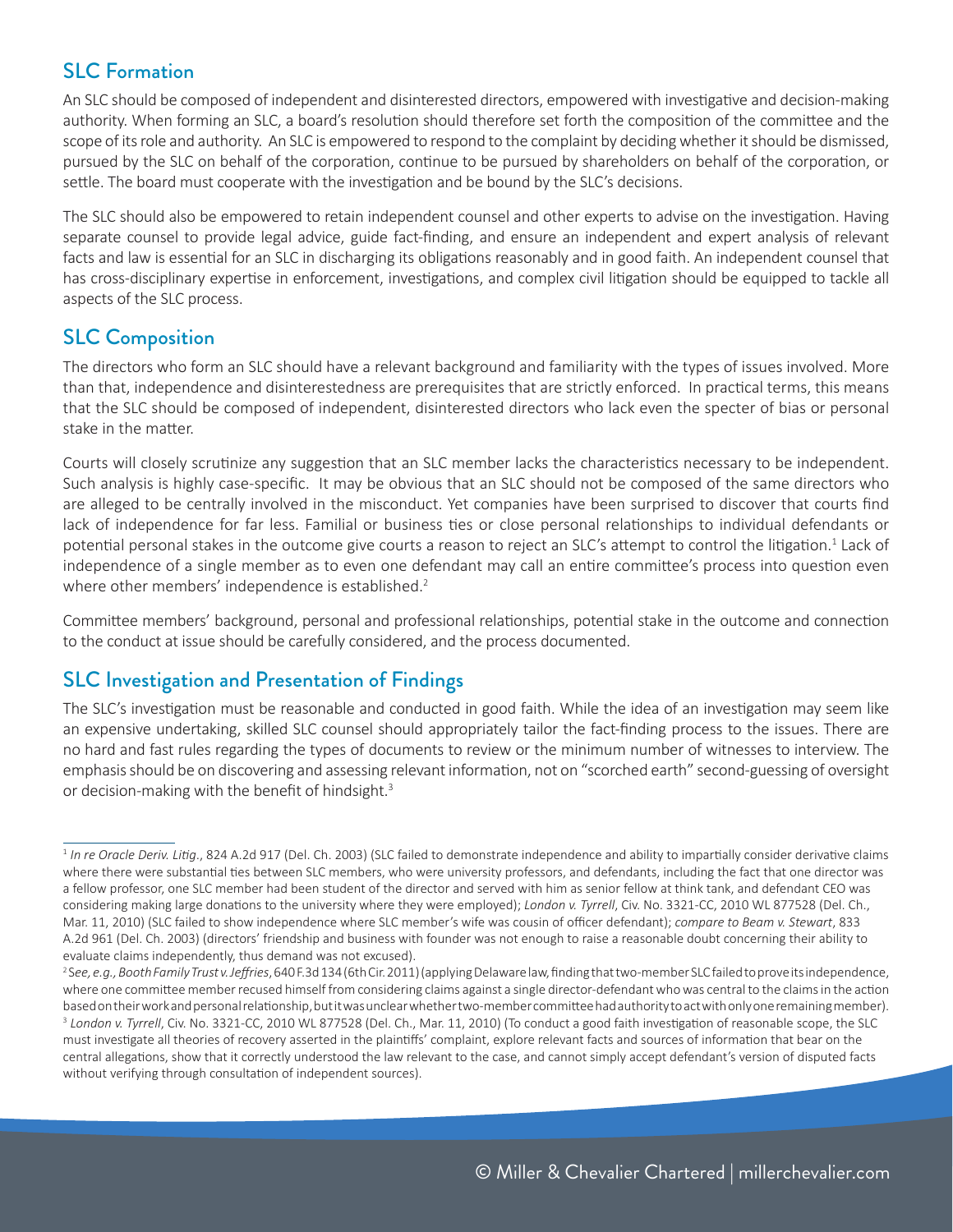### SLC Formation

An SLC should be composed of independent and disinterested directors, empowered with investigative and decision-making authority. When forming an SLC, a board's resolution should therefore set forth the composition of the committee and the scope of its role and authority. An SLC is empowered to respond to the complaint by deciding whether it should be dismissed, pursued by the SLC on behalf of the corporation, continue to be pursued by shareholders on behalf of the corporation, or settle. The board must cooperate with the investigation and be bound by the SLC's decisions.

The SLC should also be empowered to retain independent counsel and other experts to advise on the investigation. Having separate counsel to provide legal advice, guide fact-finding, and ensure an independent and expert analysis of relevant facts and law is essential for an SLC in discharging its obligations reasonably and in good faith. An independent counsel that has cross-disciplinary expertise in enforcement, investigations, and complex civil litigation should be equipped to tackle all aspects of the SLC process.

### SLC Composition

The directors who form an SLC should have a relevant background and familiarity with the types of issues involved. More than that, independence and disinterestedness are prerequisites that are strictly enforced. In practical terms, this means that the SLC should be composed of independent, disinterested directors who lack even the specter of bias or personal stake in the matter.

Courts will closely scrutinize any suggestion that an SLC member lacks the characteristics necessary to be independent. Such analysis is highly case-specific. It may be obvious that an SLC should not be composed of the same directors who are alleged to be centrally involved in the misconduct. Yet companies have been surprised to discover that courts find lack of independence for far less. Familial or business ties or close personal relationships to individual defendants or potential personal stakes in the outcome give courts a reason to reject an SLC's attempt to control the litigation.<sup>1</sup> Lack of independence of a single member as to even one defendant may call an entire committee's process into question even where other members' independence is established.<sup>2</sup>

Committee members' background, personal and professional relationships, potential stake in the outcome and connection to the conduct at issue should be carefully considered, and the process documented.

### SLC Investigation and Presentation of Findings

The SLC's investigation must be reasonable and conducted in good faith. While the idea of an investigation may seem like an expensive undertaking, skilled SLC counsel should appropriately tailor the fact-finding process to the issues. There are no hard and fast rules regarding the types of documents to review or the minimum number of witnesses to interview. The emphasis should be on discovering and assessing relevant information, not on "scorched earth" second-guessing of oversight or decision-making with the benefit of hindsight.<sup>3</sup>

<sup>&</sup>lt;sup>1</sup> In re Oracle Deriv. Litig., 824 A.2d 917 (Del. Ch. 2003) (SLC failed to demonstrate independence and ability to impartially consider derivative claims where there were substantial ties between SLC members, who were university professors, and defendants, including the fact that one director was a fellow professor, one SLC member had been student of the director and served with him as senior fellow at think tank, and defendant CEO was considering making large donations to the university where they were employed); *London v. Tyrrell*, Civ. No. 3321-CC, 2010 WL 877528 (Del. Ch., Mar. 11, 2010) (SLC failed to show independence where SLC member's wife was cousin of officer defendant); *compare to Beam v. Stewart*, 833 A.2d 961 (Del. Ch. 2003) (directors' friendship and business with founder was not enough to raise a reasonable doubt concerning their ability to evaluate claims independently, thus demand was not excused).

<sup>2</sup> S*ee, e.g., Booth Family Trust v. Jeffries*, 640 F.3d 134 (6th Cir. 2011) (applying Delaware law, finding that two-member SLC failed to prove its independence, where one committee member recused himself from considering claims against a single director-defendant who was central to the claims in the action based on their work and personal relationship, but it was unclear whether two-member committee had authority to act with only one remaining member). 3  *London v. Tyrrell*, Civ. No. 3321-CC, 2010 WL 877528 (Del. Ch., Mar. 11, 2010) (To conduct a good faith investigation of reasonable scope, the SLC must investigate all theories of recovery asserted in the plaintiffs' complaint, explore relevant facts and sources of information that bear on the central allegations, show that it correctly understood the law relevant to the case, and cannot simply accept defendant's version of disputed facts without verifying through consultation of independent sources).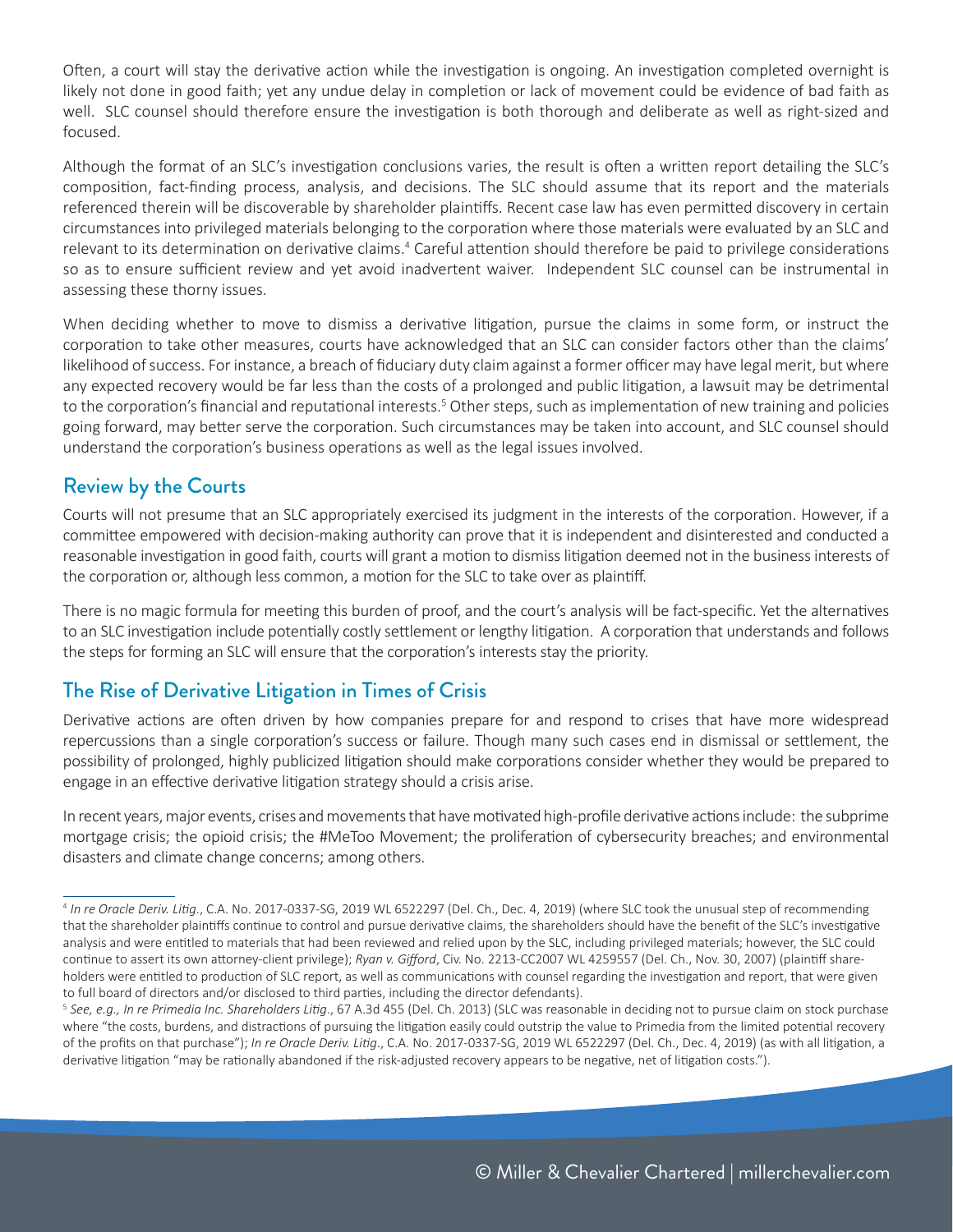Often, a court will stay the derivative action while the investigation is ongoing. An investigation completed overnight is likely not done in good faith; yet any undue delay in completion or lack of movement could be evidence of bad faith as well. SLC counsel should therefore ensure the investigation is both thorough and deliberate as well as right-sized and focused.

Although the format of an SLC's investigation conclusions varies, the result is often a written report detailing the SLC's composition, fact-finding process, analysis, and decisions. The SLC should assume that its report and the materials referenced therein will be discoverable by shareholder plaintiffs. Recent case law has even permitted discovery in certain circumstances into privileged materials belonging to the corporation where those materials were evaluated by an SLC and relevant to its determination on derivative claims.<sup>4</sup> Careful attention should therefore be paid to privilege considerations so as to ensure sufficient review and yet avoid inadvertent waiver. Independent SLC counsel can be instrumental in assessing these thorny issues.

When deciding whether to move to dismiss a derivative litigation, pursue the claims in some form, or instruct the corporation to take other measures, courts have acknowledged that an SLC can consider factors other than the claims' likelihood of success. For instance, a breach of fiduciary duty claim against a former officer may have legal merit, but where any expected recovery would be far less than the costs of a prolonged and public litigation, a lawsuit may be detrimental to the corporation's financial and reputational interests.<sup>5</sup> Other steps, such as implementation of new training and policies going forward, may better serve the corporation. Such circumstances may be taken into account, and SLC counsel should understand the corporation's business operations as well as the legal issues involved.

#### Review by the Courts

Courts will not presume that an SLC appropriately exercised its judgment in the interests of the corporation. However, if a committee empowered with decision-making authority can prove that it is independent and disinterested and conducted a reasonable investigation in good faith, courts will grant a motion to dismiss litigation deemed not in the business interests of the corporation or, although less common, a motion for the SLC to take over as plaintiff.

There is no magic formula for meeting this burden of proof, and the court's analysis will be fact-specific. Yet the alternatives to an SLC investigation include potentially costly settlement or lengthy litigation. A corporation that understands and follows the steps for forming an SLC will ensure that the corporation's interests stay the priority.

### The Rise of Derivative Litigation in Times of Crisis

Derivative actions are often driven by how companies prepare for and respond to crises that have more widespread repercussions than a single corporation's success or failure. Though many such cases end in dismissal or settlement, the possibility of prolonged, highly publicized litigation should make corporations consider whether they would be prepared to engage in an effective derivative litigation strategy should a crisis arise.

In recent years, major events, crises and movements that have motivated high-profile derivative actions include: the subprime mortgage crisis; the opioid crisis; the #MeToo Movement; the proliferation of cybersecurity breaches; and environmental disasters and climate change concerns; among others.

<sup>4</sup> *In re Oracle Deriv. Litig*., C.A. No. 2017-0337-SG, 2019 WL 6522297 (Del. Ch., Dec. 4, 2019) (where SLC took the unusual step of recommending that the shareholder plaintiffs continue to control and pursue derivative claims, the shareholders should have the benefit of the SLC's investigative analysis and were entitled to materials that had been reviewed and relied upon by the SLC, including privileged materials; however, the SLC could continue to assert its own attorney-client privilege); *Ryan v. Gifford*, Civ. No. 2213-CC2007 WL 4259557 (Del. Ch., Nov. 30, 2007) (plaintiff shareholders were entitled to production of SLC report, as well as communications with counsel regarding the investigation and report, that were given to full board of directors and/or disclosed to third parties, including the director defendants).

<sup>5</sup> *See, e.g., In re Primedia Inc. Shareholders Litig*., 67 A.3d 455 (Del. Ch. 2013) (SLC was reasonable in deciding not to pursue claim on stock purchase where "the costs, burdens, and distractions of pursuing the litigation easily could outstrip the value to Primedia from the limited potential recovery of the profits on that purchase"); *In re Oracle Deriv. Litig*., C.A. No. 2017-0337-SG, 2019 WL 6522297 (Del. Ch., Dec. 4, 2019) (as with all litigation, a derivative litigation "may be rationally abandoned if the risk-adjusted recovery appears to be negative, net of litigation costs.").